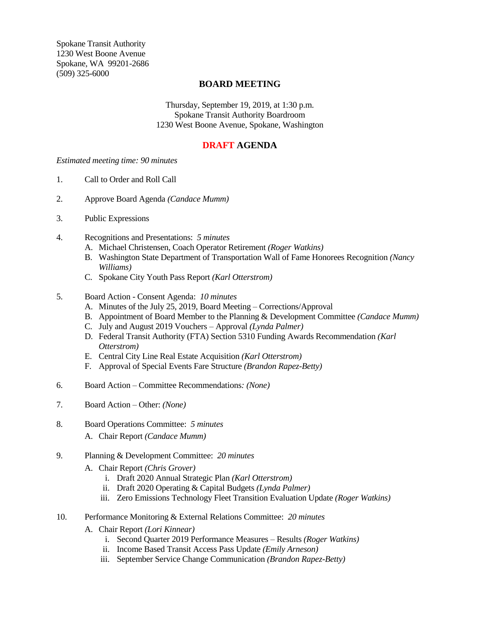Spokane Transit Authority 1230 West Boone Avenue Spokane, WA 99201-2686 (509) 325-6000

## **BOARD MEETING**

Thursday, September 19, 2019, at 1:30 p.m. Spokane Transit Authority Boardroom 1230 West Boone Avenue, Spokane, Washington

# **DRAFT AGENDA**

### *Estimated meeting time: 90 minutes*

- 1. Call to Order and Roll Call
- 2. Approve Board Agenda *(Candace Mumm)*
- 3. Public Expressions
- 4. Recognitions and Presentations: *5 minutes*
	- A. Michael Christensen, Coach Operator Retirement *(Roger Watkins)*
	- B. Washington State Department of Transportation Wall of Fame Honorees Recognition *(Nancy Williams)*
	- C. Spokane City Youth Pass Report *(Karl Otterstrom)*
- 5. Board Action Consent Agenda: *10 minutes*
	- A. Minutes of the July 25, 2019, Board Meeting Corrections/Approval
	- B. Appointment of Board Member to the Planning & Development Committee *(Candace Mumm)*
	- C. July and August 2019 Vouchers Approval *(Lynda Palmer)*
	- D. Federal Transit Authority (FTA) Section 5310 Funding Awards Recommendation *(Karl Otterstrom)*
	- E. Central City Line Real Estate Acquisition *(Karl Otterstrom)*
	- F. Approval of Special Events Fare Structure *(Brandon Rapez-Betty)*
- 6. Board Action Committee Recommendations*: (None)*
- 7. Board Action Other: *(None)*
- 8. Board Operations Committee: *5 minutes*
	- A. Chair Report *(Candace Mumm)*
- 9. Planning & Development Committee: *20 minutes*
	- A. Chair Report *(Chris Grover)*
		- i. Draft 2020 Annual Strategic Plan *(Karl Otterstrom)*
		- ii. Draft 2020 Operating & Capital Budgets *(Lynda Palmer)*
		- iii. Zero Emissions Technology Fleet Transition Evaluation Update *(Roger Watkins)*
- 10. Performance Monitoring & External Relations Committee: *20 minutes*
	- A. Chair Report *(Lori Kinnear)*
		- i. Second Quarter 2019 Performance Measures Results *(Roger Watkins)*
		- ii. Income Based Transit Access Pass Update *(Emily Arneson)*
		- iii. September Service Change Communication *(Brandon Rapez-Betty)*